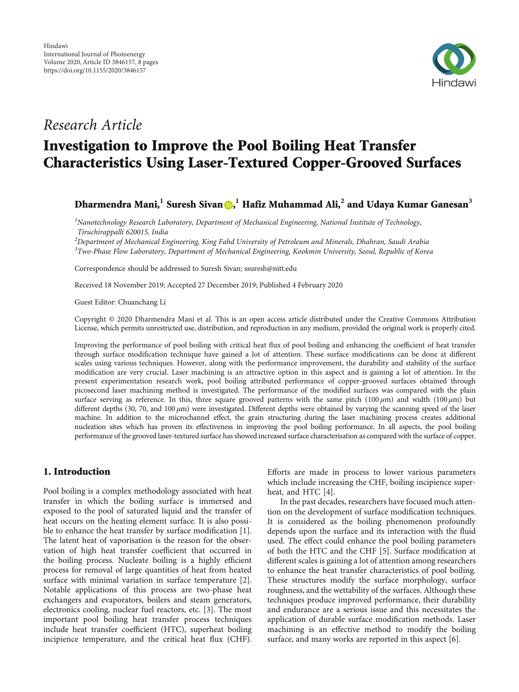

## Research Article

# Investigation to Improve the Pool Boiling Heat Transfer Characteristics Using Laser-Textured Copper-Grooved Surfaces

### Dharmendra Mani, <sup>1</sup> Suresh Sivan **D**, <sup>1</sup> Hafiz Muhammad Ali, <sup>2</sup> and Udaya Kumar Ganesan<sup>3</sup>

<sup>1</sup>Nanotechnology Research Laboratory, Department of Mechanical Engineering, National Institute of Technology, Tiruchirappalli 620015, India

2 Department of Mechanical Engineering, King Fahd University of Petroleum and Minerals, Dhahran, Saudi Arabia <sup>3</sup>Two-Phase Flow Laboratory, Department of Mechanical Engineering, Kookmin University, Seoul, Republic of Korea

Correspondence should be addressed to Suresh Sivan; ssuresh@nitt.edu

Received 18 November 2019; Accepted 27 December 2019; Published 4 February 2020

Guest Editor: Chuanchang Li

Copyright © 2020 Dharmendra Mani et al. This is an open access article distributed under the [Creative Commons Attribution](https://creativecommons.org/licenses/by/4.0/) [License](https://creativecommons.org/licenses/by/4.0/), which permits unrestricted use, distribution, and reproduction in any medium, provided the original work is properly cited.

Improving the performance of pool boiling with critical heat flux of pool boiling and enhancing the coefficient of heat transfer through surface modification technique have gained a lot of attention. These surface modifications can be done at different scales using various techniques. However, along with the performance improvement, the durability and stability of the surface modification are very crucial. Laser machining is an attractive option in this aspect and is gaining a lot of attention. In the present experimentation research work, pool boiling attributed performance of copper-grooved surfaces obtained through picosecond laser machining method is investigated. The performance of the modified surfaces was compared with the plain surface serving as reference. In this, three square grooved patterns with the same pitch  $(100 \mu m)$  and width  $(100 \mu m)$  but different depths (30, 70, and 100 *μ*m) were investigated. Different depths were obtained by varying the scanning speed of the laser machine. In addition to the microchannel effect, the grain structuring during the laser machining process creates additional nucleation sites which has proven its effectiveness in improving the pool boiling performance. In all aspects, the pool boiling performance of the grooved laser-textured surface has showed increased surface characterisation as compared with the surface of copper.

#### 1. Introduction

Pool boiling is a complex methodology associated with heat transfer in which the boiling surface is immersed and exposed to the pool of saturated liquid and the transfer of heat occurs on the heating element surface. It is also possible to enhance the heat transfer by surface modification [[1](#page-6-0)]. The latent heat of vaporisation is the reason for the observation of high heat transfer coefficient that occurred in the boiling process. Nucleate boiling is a highly efficient process for removal of large quantities of heat from heated surface with minimal variation in surface temperature [[2](#page-6-0)]. Notable applications of this process are two-phase heat exchangers and evaporators, boilers and steam generators, electronics cooling, nuclear fuel reactors, etc. [[3](#page-6-0)]. The most important pool boiling heat transfer process techniques include heat transfer coefficient (HTC), superheat boiling incipience temperature, and the critical heat flux (CHF).

Efforts are made in process to lower various parameters which include increasing the CHF, boiling incipience superheat, and HTC [\[4\]](#page-6-0).

In the past decades, researchers have focused much attention on the development of surface modification techniques. It is considered as the boiling phenomenon profoundly depends upon the surface and its interaction with the fluid used. The effect could enhance the pool boiling parameters of both the HTC and the CHF [\[5\]](#page-6-0). Surface modification at different scales is gaining a lot of attention among researchers to enhance the heat transfer characteristics of pool boiling. These structures modify the surface morphology, surface roughness, and the wettability of the surfaces. Although these techniques produce improved performance, their durability and endurance are a serious issue and this necessitates the application of durable surface modification methods. Laser machining is an effective method to modify the boiling surface, and many works are reported in this aspect [\[6\]](#page-6-0).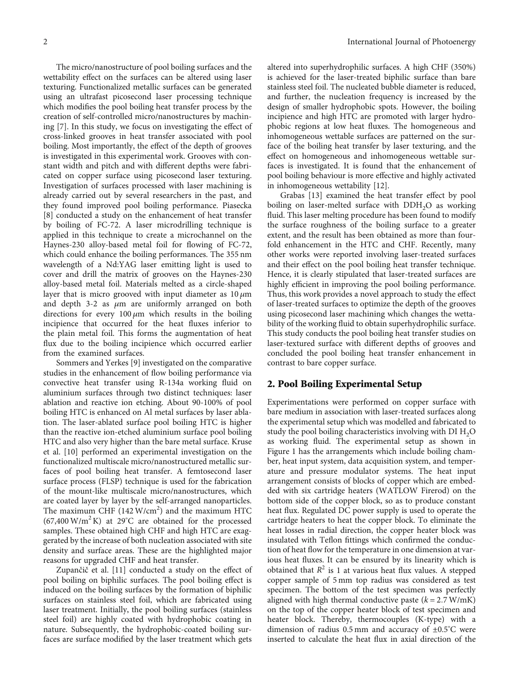The micro/nanostructure of pool boiling surfaces and the wettability effect on the surfaces can be altered using laser texturing. Functionalized metallic surfaces can be generated using an ultrafast picosecond laser processing technique which modifies the pool boiling heat transfer process by the creation of self-controlled micro/nanostructures by machining [\[7\]](#page-7-0). In this study, we focus on investigating the effect of cross-linked grooves in heat transfer associated with pool boiling. Most importantly, the effect of the depth of grooves is investigated in this experimental work. Grooves with constant width and pitch and with different depths were fabricated on copper surface using picosecond laser texturing. Investigation of surfaces processed with laser machining is already carried out by several researchers in the past, and they found improved pool boiling performance. Piasecka [\[8](#page-7-0)] conducted a study on the enhancement of heat transfer by boiling of FC-72. A laser microdrilling technique is applied in this technique to create a microchannel on the Haynes-230 alloy-based metal foil for flowing of FC-72, which could enhance the boiling performances. The 355 nm wavelength of a Nd:YAG laser emitting light is used to cover and drill the matrix of grooves on the Haynes-230 alloy-based metal foil. Materials melted as a circle-shaped layer that is micro grooved with input diameter as 10 *μ*m and depth 3-2 as *μ*m are uniformly arranged on both directions for every  $100 \mu m$  which results in the boiling incipience that occurred for the heat fluxes inferior to the plain metal foil. This forms the augmentation of heat flux due to the boiling incipience which occurred earlier from the examined surfaces.

Sommers and Yerkes [\[9](#page-7-0)] investigated on the comparative studies in the enhancement of flow boiling performance via convective heat transfer using R-134a working fluid on aluminium surfaces through two distinct techniques: laser ablation and reactive ion etching. About 90-100% of pool boiling HTC is enhanced on Al metal surfaces by laser ablation. The laser-ablated surface pool boiling HTC is higher than the reactive ion-etched aluminium surface pool boiling HTC and also very higher than the bare metal surface. Kruse et al. [\[10\]](#page-7-0) performed an experimental investigation on the functionalized multiscale micro/nanostructured metallic surfaces of pool boiling heat transfer. A femtosecond laser surface process (FLSP) technique is used for the fabrication of the mount-like multiscale micro/nanostructures, which are coated layer by layer by the self-arranged nanoparticles. The maximum CHF  $(142 \text{ W/cm}^2)$  and the maximum HTC  $(67,400 \text{ W/m}^2 \text{ K})$  at 29°C are obtained for the processed samples. These obtained high CHF and high HTC are exaggerated by the increase of both nucleation associated with site density and surface areas. These are the highlighted major reasons for upgraded CHF and heat transfer.

Zupančič et al. [[11](#page-7-0)] conducted a study on the effect of pool boiling on biphilic surfaces. The pool boiling effect is induced on the boiling surfaces by the formation of biphilic surfaces on stainless steel foil, which are fabricated using laser treatment. Initially, the pool boiling surfaces (stainless steel foil) are highly coated with hydrophobic coating in nature. Subsequently, the hydrophobic-coated boiling surfaces are surface modified by the laser treatment which gets

altered into superhydrophilic surfaces. A high CHF (350%) is achieved for the laser-treated biphilic surface than bare stainless steel foil. The nucleated bubble diameter is reduced, and further, the nucleation frequency is increased by the design of smaller hydrophobic spots. However, the boiling incipience and high HTC are promoted with larger hydrophobic regions at low heat fluxes. The homogeneous and inhomogeneous wettable surfaces are patterned on the surface of the boiling heat transfer by laser texturing, and the effect on homogeneous and inhomogeneous wettable surfaces is investigated. It is found that the enhancement of pool boiling behaviour is more effective and highly activated in inhomogeneous wettability [[12](#page-7-0)].

Grabas [[13](#page-7-0)] examined the heat transfer effect by pool boiling on laser-melted surface with  $DDH<sub>2</sub>O$  as working fluid. This laser melting procedure has been found to modify the surface roughness of the boiling surface to a greater extent, and the result has been obtained as more than fourfold enhancement in the HTC and CHF. Recently, many other works were reported involving laser-treated surfaces and their effect on the pool boiling heat transfer technique. Hence, it is clearly stipulated that laser-treated surfaces are highly efficient in improving the pool boiling performance. Thus, this work provides a novel approach to study the effect of laser-treated surfaces to optimize the depth of the grooves using picosecond laser machining which changes the wettability of the working fluid to obtain superhydrophilic surface. This study conducts the pool boiling heat transfer studies on laser-textured surface with different depths of grooves and concluded the pool boiling heat transfer enhancement in contrast to bare copper surface.

#### 2. Pool Boiling Experimental Setup

Experimentations were performed on copper surface with bare medium in association with laser-treated surfaces along the experimental setup which was modelled and fabricated to study the pool boiling characteristics involving with  $DI H<sub>2</sub>O$ as working fluid. The experimental setup as shown in Figure [1](#page-2-0) has the arrangements which include boiling chamber, heat input system, data acquisition system, and temperature and pressure modulator systems. The heat input arrangement consists of blocks of copper which are embedded with six cartridge heaters (WATLOW Firerod) on the bottom side of the copper block, so as to produce constant heat flux. Regulated DC power supply is used to operate the cartridge heaters to heat the copper block. To eliminate the heat losses in radial direction, the copper heater block was insulated with Teflon fittings which confirmed the conduction of heat flow for the temperature in one dimension at various heat fluxes. It can be ensured by its linearity which is obtained that  $R^2$  is 1 at various heat flux values. A stepped copper sample of 5 mm top radius was considered as test specimen. The bottom of the test specimen was perfectly aligned with high thermal conductive paste  $(k = 2.7 \text{ W/mK})$ on the top of the copper heater block of test specimen and heater block. Thereby, thermocouples (K-type) with a dimension of radius 0.5 mm and accuracy of ±0.5° C were inserted to calculate the heat flux in axial direction of the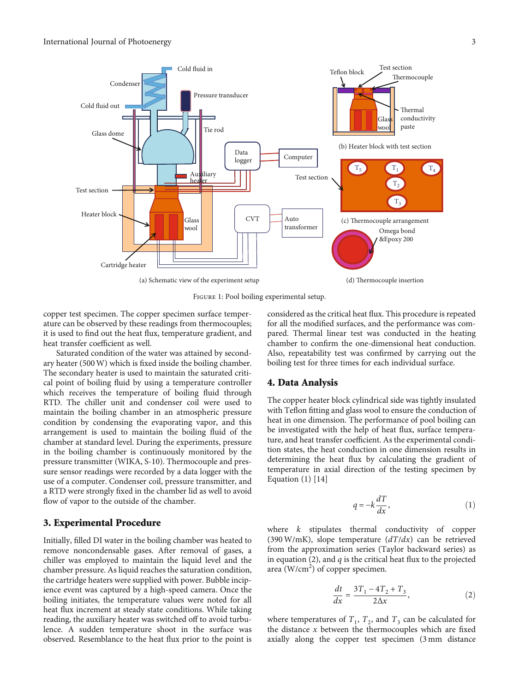<span id="page-2-0"></span>

Figure 1: Pool boiling experimental setup.

copper test specimen. The copper specimen surface temperature can be observed by these readings from thermocouples; it is used to find out the heat flux, temperature gradient, and heat transfer coefficient as well.

Saturated condition of the water was attained by secondary heater (500W) which is fixed inside the boiling chamber. The secondary heater is used to maintain the saturated critical point of boiling fluid by using a temperature controller which receives the temperature of boiling fluid through RTD. The chiller unit and condenser coil were used to maintain the boiling chamber in an atmospheric pressure condition by condensing the evaporating vapor, and this arrangement is used to maintain the boiling fluid of the chamber at standard level. During the experiments, pressure in the boiling chamber is continuously monitored by the pressure transmitter (WIKA, S-10). Thermocouple and pressure sensor readings were recorded by a data logger with the use of a computer. Condenser coil, pressure transmitter, and a RTD were strongly fixed in the chamber lid as well to avoid flow of vapor to the outside of the chamber.

#### 3. Experimental Procedure

Initially, filled DI water in the boiling chamber was heated to remove noncondensable gases. After removal of gases, a chiller was employed to maintain the liquid level and the chamber pressure. As liquid reaches the saturation condition, the cartridge heaters were supplied with power. Bubble incipience event was captured by a high-speed camera. Once the boiling initiates, the temperature values were noted for all heat flux increment at steady state conditions. While taking reading, the auxiliary heater was switched off to avoid turbulence. A sudden temperature shoot in the surface was observed. Resemblance to the heat flux prior to the point is considered as the critical heat flux. This procedure is repeated for all the modified surfaces, and the performance was compared. Thermal linear test was conducted in the heating chamber to confirm the one-dimensional heat conduction. Also, repeatability test was confirmed by carrying out the boiling test for three times for each individual surface.

#### 4. Data Analysis

The copper heater block cylindrical side was tightly insulated with Teflon fitting and glass wool to ensure the conduction of heat in one dimension. The performance of pool boiling can be investigated with the help of heat flux, surface temperature, and heat transfer coefficient. As the experimental condition states, the heat conduction in one dimension results in determining the heat flux by calculating the gradient of temperature in axial direction of the testing specimen by Equation  $(1)$  [[14](#page-7-0)]

$$
q = -k \frac{dT}{dx}, \qquad (1)
$$

where *k* stipulates thermal conductivity of copper (390W/mK), slope temperature (*dT*/*dx*) can be retrieved from the approximation series (Taylor backward series) as in equation (2), and *q* is the critical heat flux to the projected area  $(W/cm<sup>2</sup>)$  of copper specimen.

$$
\frac{dt}{dx} = \frac{3T_1 - 4T_2 + T_3}{2\Delta x},
$$
\n(2)

where temperatures of  $T_1$ ,  $T_2$ , and  $T_3$  can be calculated for the distance  $x$  between the thermocouples which are fixed axially along the copper test specimen (3 mm distance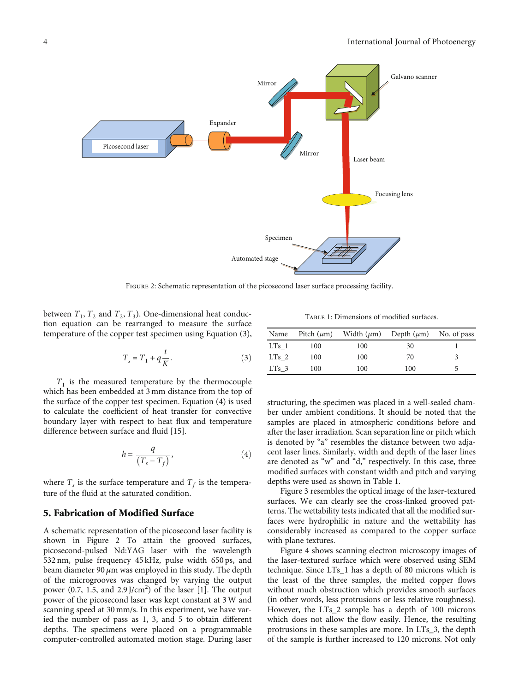

FIGURE 2: Schematic representation of the picosecond laser surface processing facility.

between  $T_1$ ,  $T_2$  and  $T_2$ ,  $T_3$ ). One-dimensional heat conduction equation can be rearranged to measure the surface temperature of the copper test specimen using Equation (3),

$$
T_s = T_1 + q \frac{t}{K}.
$$
 (3)

 $T<sub>1</sub>$  is the measured temperature by the thermocouple which has been embedded at 3 mm distance from the top of the surface of the copper test specimen. Equation (4) is used to calculate the coefficient of heat transfer for convective boundary layer with respect to heat flux and temperature difference between surface and fluid [\[15\]](#page-7-0).

$$
h = \frac{q}{(T_s - T_f)},\tag{4}
$$

where  $T<sub>s</sub>$  is the surface temperature and  $T<sub>f</sub>$  is the temperature of the fluid at the saturated condition.

#### 5. Fabrication of Modified Surface

A schematic representation of the picosecond laser facility is shown in Figure 2 To attain the grooved surfaces, picosecond-pulsed Nd:YAG laser with the wavelength 532 nm, pulse frequency 45 kHz, pulse width 650 ps, and beam diameter 90 *μ*m was employed in this study. The depth of the microgrooves was changed by varying the output power (0.7, 1.5, and 2.9 J/cm<sup>2</sup>) of the laser [\[1\]](#page-6-0). The output power of the picosecond laser was kept constant at 3W and scanning speed at 30 mm/s. In this experiment, we have varied the number of pass as 1, 3, and 5 to obtain different depths. The specimens were placed on a programmable computer-controlled automated motion stage. During laser

Table 1: Dimensions of modified surfaces.

| Name             |     | Pitch $(\mu m)$ Width $(\mu m)$ Depth $(\mu m)$ No. of pass |     |   |
|------------------|-----|-------------------------------------------------------------|-----|---|
| LTs <sub>1</sub> | 100 | 100                                                         | 30  |   |
| LTs <sub>2</sub> | 100 | 100                                                         | 70  | 3 |
| $LTs$ 3          | 100 | 100                                                         | 100 | 5 |

structuring, the specimen was placed in a well-sealed chamber under ambient conditions. It should be noted that the samples are placed in atmospheric conditions before and after the laser irradiation. Scan separation line or pitch which is denoted by "a" resembles the distance between two adjacent laser lines. Similarly, width and depth of the laser lines are denoted as "w" and "d," respectively. In this case, three modified surfaces with constant width and pitch and varying depths were used as shown in Table 1.

Figure [3](#page-4-0) resembles the optical image of the laser-textured surfaces. We can clearly see the cross-linked grooved patterns. The wettability tests indicated that all the modified surfaces were hydrophilic in nature and the wettability has considerably increased as compared to the copper surface with plane textures.

Figure [4](#page-4-0) shows scanning electron microscopy images of the laser-textured surface which were observed using SEM technique. Since LTs\_1 has a depth of 80 microns which is the least of the three samples, the melted copper flows without much obstruction which provides smooth surfaces (in other words, less protrusions or less relative roughness). However, the LTs\_2 sample has a depth of 100 microns which does not allow the flow easily. Hence, the resulting protrusions in these samples are more. In LTs\_3, the depth of the sample is further increased to 120 microns. Not only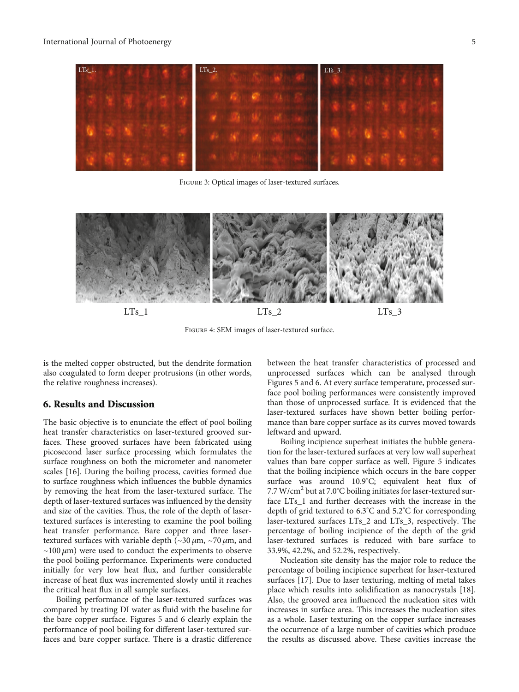<span id="page-4-0"></span>

Figure 3: Optical images of laser-textured surfaces.



Figure 4: SEM images of laser-textured surface.

is the melted copper obstructed, but the dendrite formation also coagulated to form deeper protrusions (in other words, the relative roughness increases).

#### 6. Results and Discussion

The basic objective is to enunciate the effect of pool boiling heat transfer characteristics on laser-textured grooved surfaces. These grooved surfaces have been fabricated using picosecond laser surface processing which formulates the surface roughness on both the micrometer and nanometer scales [\[16\]](#page-7-0). During the boiling process, cavities formed due to surface roughness which influences the bubble dynamics by removing the heat from the laser-textured surface. The depth of laser-textured surfaces was influenced by the density and size of the cavities. Thus, the role of the depth of lasertextured surfaces is interesting to examine the pool boiling heat transfer performance. Bare copper and three lasertextured surfaces with variable depth (~30 *μ*m, ~70 *μ*m, and  $\sim$ 100  $\mu$ m) were used to conduct the experiments to observe the pool boiling performance. Experiments were conducted initially for very low heat flux, and further considerable increase of heat flux was incremented slowly until it reaches the critical heat flux in all sample surfaces.

Boiling performance of the laser-textured surfaces was compared by treating DI water as fluid with the baseline for the bare copper surface. Figures [5](#page-5-0) and [6](#page-5-0) clearly explain the performance of pool boiling for different laser-textured surfaces and bare copper surface. There is a drastic difference between the heat transfer characteristics of processed and unprocessed surfaces which can be analysed through Figures [5](#page-5-0) and [6](#page-5-0). At every surface temperature, processed surface pool boiling performances were consistently improved than those of unprocessed surface. It is evidenced that the laser-textured surfaces have shown better boiling performance than bare copper surface as its curves moved towards leftward and upward.

Boiling incipience superheat initiates the bubble generation for the laser-textured surfaces at very low wall superheat values than bare copper surface as well. Figure [5](#page-5-0) indicates that the boiling incipience which occurs in the bare copper surface was around 10.9°C; equivalent heat flux of 7.7 W/cm<sup>2</sup> but at 7.0°C boiling initiates for laser-textured surface LTs 1 and further decreases with the increase in the depth of grid textured to 6.3° C and 5.2° C for corresponding laser-textured surfaces LTs\_2 and LTs\_3, respectively. The percentage of boiling incipience of the depth of the grid laser-textured surfaces is reduced with bare surface to 33.9%, 42.2%, and 52.2%, respectively.

Nucleation site density has the major role to reduce the percentage of boiling incipience superheat for laser-textured surfaces [\[17\]](#page-7-0). Due to laser texturing, melting of metal takes place which results into solidification as nanocrystals [[18](#page-7-0)]. Also, the grooved area influenced the nucleation sites with increases in surface area. This increases the nucleation sites as a whole. Laser texturing on the copper surface increases the occurrence of a large number of cavities which produce the results as discussed above. These cavities increase the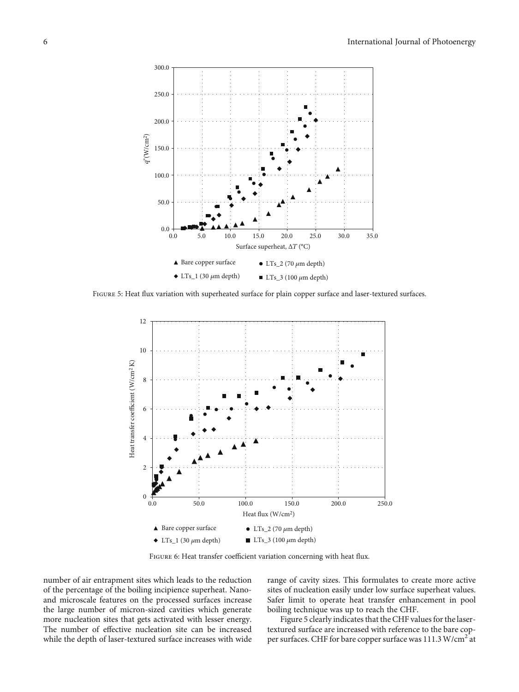<span id="page-5-0"></span>

FIGURE 5: Heat flux variation with superheated surface for plain copper surface and laser-textured surfaces.



FIGURE 6: Heat transfer coefficient variation concerning with heat flux.

number of air entrapment sites which leads to the reduction of the percentage of the boiling incipience superheat. Nanoand microscale features on the processed surfaces increase the large number of micron-sized cavities which generate more nucleation sites that gets activated with lesser energy. The number of effective nucleation site can be increased while the depth of laser-textured surface increases with wide range of cavity sizes. This formulates to create more active sites of nucleation easily under low surface superheat values. Safer limit to operate heat transfer enhancement in pool boiling technique was up to reach the CHF.

Figure 5 clearly indicates that the CHF values for the lasertextured surface are increased with reference to the bare copper surfaces. CHF for bare copper surface was 111.3 W/cm<sup>2</sup> at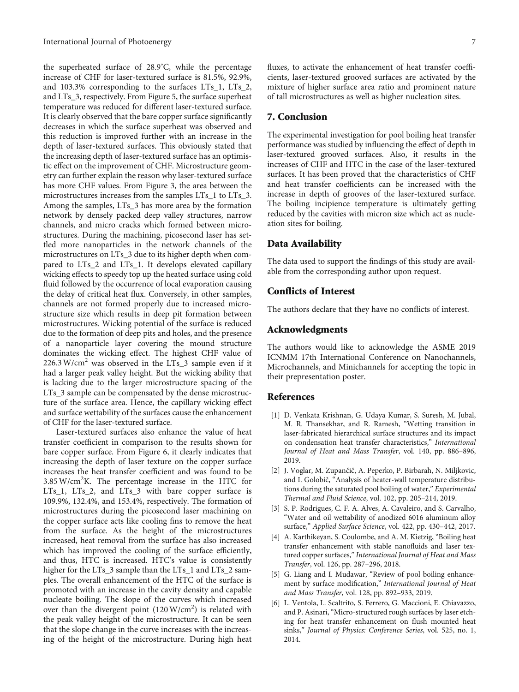<span id="page-6-0"></span>the superheated surface of 28.9° C, while the percentage increase of CHF for laser-textured surface is 81.5%, 92.9%, and 103.3% corresponding to the surfaces LTs\_1, LTs\_2, and LTs\_3, respectively. From Figure [5](#page-5-0), the surface superheat temperature was reduced for different laser-textured surface. It is clearly observed that the bare copper surface significantly decreases in which the surface superheat was observed and this reduction is improved further with an increase in the depth of laser-textured surfaces. This obviously stated that the increasing depth of laser-textured surface has an optimistic effect on the improvement of CHF. Microstructure geometry can further explain the reason why laser-textured surface has more CHF values. From Figure [3,](#page-4-0) the area between the microstructures increases from the samples LTs\_1 to LTs\_3. Among the samples, LTs\_3 has more area by the formation network by densely packed deep valley structures, narrow channels, and micro cracks which formed between microstructures. During the machining, picosecond laser has settled more nanoparticles in the network channels of the microstructures on LTs\_3 due to its higher depth when compared to LTs\_2 and LTs\_1. It develops elevated capillary wicking effects to speedy top up the heated surface using cold fluid followed by the occurrence of local evaporation causing the delay of critical heat flux. Conversely, in other samples, channels are not formed properly due to increased microstructure size which results in deep pit formation between microstructures. Wicking potential of the surface is reduced due to the formation of deep pits and holes, and the presence of a nanoparticle layer covering the mound structure dominates the wicking effect. The highest CHF value of  $226.3 \text{ W/cm}^2$  was observed in the LTs\_3 sample even if it had a larger peak valley height. But the wicking ability that is lacking due to the larger microstructure spacing of the LTs\_3 sample can be compensated by the dense microstructure of the surface area. Hence, the capillary wicking effect and surface wettability of the surfaces cause the enhancement of CHF for the laser-textured surface.

Laser-textured surfaces also enhance the value of heat transfer coefficient in comparison to the results shown for bare copper surface. From Figure [6](#page-5-0), it clearly indicates that increasing the depth of laser texture on the copper surface increases the heat transfer coefficient and was found to be  $3.85 \text{ W/cm}^2$ K. The percentage increase in the HTC for LTs\_1, LTs\_2, and LTs\_3 with bare copper surface is 109.9%, 132.4%, and 153.4%, respectively. The formation of microstructures during the picosecond laser machining on the copper surface acts like cooling fins to remove the heat from the surface. As the height of the microstructures increased, heat removal from the surface has also increased which has improved the cooling of the surface efficiently, and thus, HTC is increased. HTC's value is consistently higher for the LTs\_3 sample than the LTs\_1 and LTs\_2 samples. The overall enhancement of the HTC of the surface is promoted with an increase in the cavity density and capable nucleate boiling. The slope of the curves which increased over than the divergent point  $(120 \, \text{W/cm}^2)$  is related with the peak valley height of the microstructure. It can be seen that the slope change in the curve increases with the increasing of the height of the microstructure. During high heat fluxes, to activate the enhancement of heat transfer coefficients, laser-textured grooved surfaces are activated by the mixture of higher surface area ratio and prominent nature of tall microstructures as well as higher nucleation sites.

#### 7. Conclusion

The experimental investigation for pool boiling heat transfer performance was studied by influencing the effect of depth in laser-textured grooved surfaces. Also, it results in the increases of CHF and HTC in the case of the laser-textured surfaces. It has been proved that the characteristics of CHF and heat transfer coefficients can be increased with the increase in depth of grooves of the laser-textured surface. The boiling incipience temperature is ultimately getting reduced by the cavities with micron size which act as nucleation sites for boiling.

#### Data Availability

The data used to support the findings of this study are available from the corresponding author upon request.

#### Conflicts of Interest

The authors declare that they have no conflicts of interest.

#### Acknowledgments

The authors would like to acknowledge the ASME 2019 ICNMM 17th International Conference on Nanochannels, Microchannels, and Minichannels for accepting the topic in their prepresentation poster.

#### References

- [1] D. Venkata Krishnan, G. Udaya Kumar, S. Suresh, M. Jubal, M. R. Thansekhar, and R. Ramesh, "Wetting transition in laser-fabricated hierarchical surface structures and its impact on condensation heat transfer characteristics," International Journal of Heat and Mass Transfer, vol. 140, pp. 886–896, 2019.
- [2] J. Voglar, M. Zupančič, A. Peperko, P. Birbarah, N. Miljkovic, and I. Golobič, "Analysis of heater-wall temperature distributions during the saturated pool boiling of water," Experimental Thermal and Fluid Science, vol. 102, pp. 205–214, 2019.
- [3] S. P. Rodrigues, C. F. A. Alves, A. Cavaleiro, and S. Carvalho, "Water and oil wettability of anodized 6016 aluminum alloy surface," Applied Surface Science, vol. 422, pp. 430–442, 2017.
- [4] A. Karthikeyan, S. Coulombe, and A. M. Kietzig, "Boiling heat transfer enhancement with stable nanofluids and laser textured copper surfaces,"International Journal of Heat and Mass Transfer, vol. 126, pp. 287–296, 2018.
- [5] G. Liang and I. Mudawar, "Review of pool boiling enhancement by surface modification," International Journal of Heat and Mass Transfer, vol. 128, pp. 892–933, 2019.
- [6] L. Ventola, L. Scaltrito, S. Ferrero, G. Maccioni, E. Chiavazzo, and P. Asinari, "Micro-structured rough surfaces by laser etching for heat transfer enhancement on flush mounted heat sinks," Journal of Physics: Conference Series, vol. 525, no. 1, 2014.